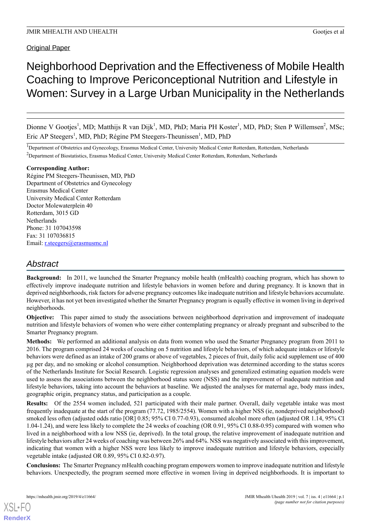## Original Paper

# Neighborhood Deprivation and the Effectiveness of Mobile Health Coaching to Improve Periconceptional Nutrition and Lifestyle in Women: Survey in a Large Urban Municipality in the Netherlands

Dionne V Gootjes<sup>1</sup>, MD; Matthijs R van Dijk<sup>1</sup>, MD, PhD; Maria PH Koster<sup>1</sup>, MD, PhD; Sten P Willemsen<sup>2</sup>, MSc; Eric AP Steegers<sup>1</sup>, MD, PhD; Régine PM Steegers-Theunissen<sup>1</sup>, MD, PhD

<sup>1</sup>Department of Obstetrics and Gynecology, Erasmus Medical Center, University Medical Center Rotterdam, Rotterdam, Netherlands <sup>2</sup>Department of Biostatistics, Erasmus Medical Center, University Medical Center Rotterdam, Rotterdam, Netherlands

#### **Corresponding Author:**

Régine PM Steegers-Theunissen, MD, PhD Department of Obstetrics and Gynecology Erasmus Medical Center University Medical Center Rotterdam Doctor Molewaterplein 40 Rotterdam, 3015 GD Netherlands Phone: 31 107043598 Fax: 31 107036815 Email: [r.steegers@erasmusmc.nl](mailto:r.steegers@erasmusmc.nl)

## *Abstract*

**Background:** In 2011, we launched the Smarter Pregnancy mobile health (mHealth) coaching program, which has shown to effectively improve inadequate nutrition and lifestyle behaviors in women before and during pregnancy. It is known that in deprived neighborhoods, risk factors for adverse pregnancy outcomes like inadequate nutrition and lifestyle behaviors accumulate. However, it has not yet been investigated whether the Smarter Pregnancy program is equally effective in women living in deprived neighborhoods.

**Objective:** This paper aimed to study the associations between neighborhood deprivation and improvement of inadequate nutrition and lifestyle behaviors of women who were either contemplating pregnancy or already pregnant and subscribed to the Smarter Pregnancy program.

**Methods:** We performed an additional analysis on data from women who used the Smarter Pregnancy program from 2011 to 2016. The program comprised 24 weeks of coaching on 5 nutrition and lifestyle behaviors, of which adequate intakes or lifestyle behaviors were defined as an intake of 200 grams or above of vegetables, 2 pieces of fruit, daily folic acid supplement use of 400 µg per day, and no smoking or alcohol consumption. Neighborhood deprivation was determined according to the status scores of the Netherlands Institute for Social Research. Logistic regression analyses and generalized estimating equation models were used to assess the associations between the neighborhood status score (NSS) and the improvement of inadequate nutrition and lifestyle behaviors, taking into account the behaviors at baseline. We adjusted the analyses for maternal age, body mass index, geographic origin, pregnancy status, and participation as a couple.

**Results:** Of the 2554 women included, 521 participated with their male partner. Overall, daily vegetable intake was most frequently inadequate at the start of the program (77.72, 1985/2554). Women with a higher NSS (ie, nondeprived neighborhood) smoked less often (adjusted odds ratio [OR] 0.85; 95% CI 0.77-0.93), consumed alcohol more often (adjusted OR 1.14, 95% CI 1.04-1.24), and were less likely to complete the 24 weeks of coaching (OR 0.91, 95% CI 0.88-0.95) compared with women who lived in a neighborhood with a low NSS (ie, deprived). In the total group, the relative improvement of inadequate nutrition and lifestyle behaviors after 24 weeks of coaching was between 26% and 64%. NSS was negatively associated with this improvement, indicating that women with a higher NSS were less likely to improve inadequate nutrition and lifestyle behaviors, especially vegetable intake (adjusted OR 0.89, 95% CI 0.82-0.97).

**Conclusions:** The Smarter Pregnancy mHealth coaching program empowers women to improve inadequate nutrition and lifestyle behaviors. Unexpectedly, the program seemed more effective in women living in deprived neighborhoods. It is important to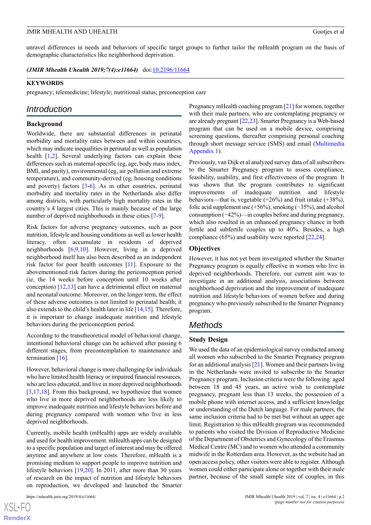unravel differences in needs and behaviors of specific target groups to further tailor the mHealth program on the basis of demographic characteristics like neighborhood deprivation.

*(JMIR Mhealth Uhealth 2019;7(4):e11664)* doi: $10.2196/11664$ 

#### **KEYWORDS**

pregnancy; telemedicine; lifestyle; nutritional status; preconception care

### *Introduction*

#### **Background**

Worldwide, there are substantial differences in perinatal morbidity and mortality rates between and within countries, which may indicate inequalities in perinatal as well as population health [[1](#page-7-0)[,2](#page-7-1)]. Several underlying factors can explain these differences such as maternal-specific (eg, age, body mass index, BMI, and parity), environmental (eg, air pollution and extreme temperature), and community-derived (eg, housing conditions and poverty) factors  $[3-6]$  $[3-6]$  $[3-6]$  $[3-6]$ . As in other countries, perinatal morbidity and mortality rates in the Netherlands also differ among districts, with particularly high mortality rates in the country's 4 largest cities. This is mainly because of the large number of deprived neighborhoods in these cities [[7](#page-7-4)[-9](#page-7-5)].

Risk factors for adverse pregnancy outcomes, such as poor nutrition, lifestyle and housing conditions as well as lower health literacy, often accumulate in residents of deprived neighborhoods [[6](#page-7-3)[,9,](#page-7-5)[10\]](#page-7-6). However, living in a deprived neighborhood itself has also been described as an independent risk factor for poor health outcomes [[11](#page-7-7)]. Exposure to the abovementioned risk factors during the periconception period (ie, the 14 weeks before conception until 10 weeks after conception) [[12](#page-8-0)[,13](#page-8-1)] can have a detrimental effect on maternal and neonatal outcome. Moreover, on the longer term, the effect of these adverse outcomes is not limited to perinatal health; it also extends to the child's health later in life [[14,](#page-8-2)[15](#page-8-3)]. Therefore, it is important to change inadequate nutrition and lifestyle behaviors during the periconception period.

According to the transtheoretical model of behavioral change, intentional behavioral change can be achieved after passing 6 different stages, from precontemplation to maintenance and termination [\[16](#page-8-4)].

However, behavioral change is more challenging for individuals who have limited health literacy or impaired financial resources, who are less educated, and live in more deprived neighborhoods [[3](#page-7-2)[,17](#page-8-5),[18\]](#page-8-6). From this background, we hypothesize that women who live in more deprived neighborhoods are less likely to improve inadequate nutrition and lifestyle behaviors before and during pregnancy compared with women who live in less deprived neighborhoods.

Currently, mobile health (mHealth) apps are widely available and used for health improvement. mHealth apps can be designed to a specific population and target of interest and may be offered anytime and anywhere at low costs. Therefore, mHealth is a promising medium to support people to improve nutrition and lifestyle behaviors [\[19](#page-8-7),[20\]](#page-8-8). In 2011, after more than 30 years of research on the impact of nutrition and lifestyle behaviors on reproduction, we developed and launched the Smarter

[XSL](http://www.w3.org/Style/XSL)•FO **[RenderX](http://www.renderx.com/)** Pregnancy mHealth coaching program [[21\]](#page-8-9) for women, together with their male partners, who are contemplating pregnancy or are already pregnant [\[22](#page-8-10)[,23](#page-8-11)]. Smarter Pregnancy is a Web-based program that can be used on a mobile device, comprising screening questions, thereafter comprising personal coaching through short message service (SMS) and email [\(Multimedia](#page-7-8) [Appendix 1\)](#page-7-8).

Previously, van Dijk et al analyzed survey data of all subscribers to the Smarter Pregnancy program to assess compliance, feasibility, usability, and first effectiveness of the program. It was shown that the program contributes to significant improvements of inadequate nutrition and lifestyle behaviors—that is, vegetable (+26%) and fruit intake (+38%), folic acid supplement use (+56%), smoking (−35%), and alcohol consumption (−42%)—in couples before and during pregnancy, which also resulted in an enhanced pregnancy chance in both fertile and subfertile couples up to 40%. Besides, a high compliance (65%) and usability were reported [\[22](#page-8-10)[,24](#page-8-12)].

#### **Objectives**

However, it has not yet been investigated whether the Smarter Pregnancy program is equally effective in women who live in deprived neighborhoods. Therefore, our current aim was to investigate in an additional analysis, associations between neighborhood deprivation and the improvement of inadequate nutrition and lifestyle behaviors of women before and during pregnancy who previously subscribed to the Smarter Pregnancy program.

## *Methods*

#### **Study Design**

We used the data of an epidemiological survey conducted among all women who subscribed to the Smarter Pregnancy program for an additional analysis [\[21](#page-8-9)]. Women and their partners living in the Netherlands were invited to subscribe to the Smarter Pregnancy program. Inclusion criteria were the following: aged between 18 and 45 years, an active wish to contemplate pregnancy, pregnant less than 13 weeks, the possession of a mobile phone with internet access, and a sufficient knowledge or understanding of the Dutch language. For male partners, the same inclusion criteria had to be met but without an upper age limit. Registration to this mHealth program was recommended to patients who visited the Division of Reproductive Medicine of the Department of Obstetrics and Gynecology of the Erasmus Medical Centre (MC) and to women who attended a community midwife in the Rotterdam area. However, as the website had an open access policy, other visitors were able to register. Although women could either participate alone or together with their male partner, because of the small sample size of couples, in this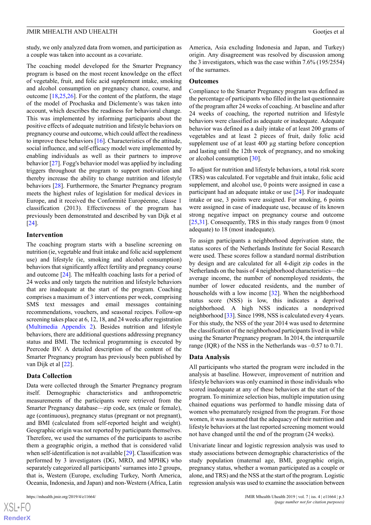study, we only analyzed data from women, and participation as a couple was taken into account as a covariate.

The coaching model developed for the Smarter Pregnancy program is based on the most recent knowledge on the effect of vegetable, fruit, and folic acid supplement intake, smoking and alcohol consumption on pregnancy chance, course, and outcome  $[18, 25, 26]$  $[18, 25, 26]$  $[18, 25, 26]$  $[18, 25, 26]$  $[18, 25, 26]$  $[18, 25, 26]$ . For the content of the platform, the stage of the model of Prochaska and Diclemente's was taken into account, which describes the readiness for behavioral change. This was implemented by informing participants about the positive effects of adequate nutrition and lifestyle behaviors on pregnancy course and outcome, which could affect the readiness to improve these behaviors [[16\]](#page-8-4). Characteristics of the attitude, social influence, and self-efficacy model were implemented by enabling individuals as well as their partners to improve behavior [[27\]](#page-8-15). Fogg's behavior model was applied by including triggers throughout the program to support motivation and thereby increase the ability to change nutrition and lifestyle behaviors [[28\]](#page-8-16). Furthermore, the Smarter Pregnancy program meets the highest rules of legislation for medical devices in Europe, and it received the Conformité Européenne, classe 1 classification (2013). Effectiveness of the program has previously been demonstrated and described by van Dijk et al [[24\]](#page-8-12).

#### **Intervention**

The coaching program starts with a baseline screening on nutrition (ie, vegetable and fruit intake and folic acid supplement use) and lifestyle (ie, smoking and alcohol consumption) behaviors that significantly affect fertility and pregnancy course and outcome [\[24](#page-8-12)]. The mHealth coaching lasts for a period of 24 weeks and only targets the nutrition and lifestyle behaviors that are inadequate at the start of the program. Coaching comprises a maximum of 3 interventions per week, comprising SMS text messages and email messages containing recommendations, vouchers, and seasonal recipes. Follow-up screening takes place at 6, 12, 18, and 24 weeks after registration ([Multimedia Appendix 2](#page-7-9)). Besides nutrition and lifestyle behaviors, there are additional questions addressing pregnancy status and BMI. The technical programming is executed by Peercode BV. A detailed description of the content of the Smarter Pregnancy program has previously been published by van Dijk et al [\[22](#page-8-10)].

#### **Data Collection**

Data were collected through the Smarter Pregnancy program itself. Demographic characteristics and anthropometric measurements of the participants were retrieved from the Smarter Pregnancy database—zip code, sex (male or female), age (continuous), pregnancy status (pregnant or not pregnant), and BMI (calculated from self-reported height and weight). Geographic origin was not reported by participants themselves. Therefore, we used the surnames of the participants to ascribe them a geographic origin, a method that is considered valid when self-identification is not available [\[29](#page-8-17)]. Classification was performed by 3 investigators (DG, MRD, and MPHK) who separately categorized all participants' surnames into 2 groups, that is, Western (Europe, excluding Turkey, North America, Oceania, Indonesia, and Japan) and non-Western (Africa, Latin

America, Asia excluding Indonesia and Japan, and Turkey) origin. Any disagreement was resolved by discussion among the 3 investigators, which was the case within 7.6% (195/2554) of the surnames.

#### **Outcomes**

Compliance to the Smarter Pregnancy program was defined as the percentage of participants who filled in the last questionnaire of the program after 24 weeks of coaching. At baseline and after 24 weeks of coaching, the reported nutrition and lifestyle behaviors were classified as adequate or inadequate. Adequate behavior was defined as a daily intake of at least 200 grams of vegetables and at least 2 pieces of fruit, daily folic acid supplement use of at least 400 µg starting before conception and lasting until the 12th week of pregnancy, and no smoking or alcohol consumption [[30\]](#page-8-18).

To adjust for nutrition and lifestyle behaviors, a total risk score (TRS) was calculated. For vegetable and fruit intake, folic acid supplement, and alcohol use, 0 points were assigned in case a participant had an adequate intake or use [\[24](#page-8-12)]. For inadequate intake or use, 3 points were assigned. For smoking, 6 points were assigned in case of inadequate use, because of its known strong negative impact on pregnancy course and outcome [[25,](#page-8-13)[31\]](#page-8-19). Consequently, TRS in this study ranges from 0 (most adequate) to 18 (most inadequate).

To assign participants a neighborhood deprivation state, the status scores of the Netherlands Institute for Social Research were used. These scores follow a standard normal distribution by design and are calculated for all 4-digit zip codes in the Netherlands on the basis of 4 neighborhood characteristics—the average income, the number of nonemployed residents, the number of lower educated residents, and the number of households with a low income [\[32](#page-8-20)]. When the neighborhood status score (NSS) is low, this indicates a deprived neighborhood. A high NSS indicates a nondeprived neighborhood [[33](#page-8-21)]. Since 1998, NSS is calculated every 4 years. For this study, the NSS of the year 2014 was used to determine the classification of the neighborhood participants lived in while using the Smarter Pregnancy program. In 2014, the interquartile range (IQR) of the NSS in the Netherlands was –0.57 to 0.71.

#### **Data Analysis**

All participants who started the program were included in the analysis at baseline. However, improvement of nutrition and lifestyle behaviors was only examined in those individuals who scored inadequate at any of these behaviors at the start of the program. To minimize selection bias, multiple imputation using chained equations was performed to handle missing data of women who prematurely resigned from the program. For those women, it was assumed that the adequacy of their nutrition and lifestyle behaviors at the last reported screening moment would not have changed until the end of the program (24 weeks).

Univariate linear and logistic regression analysis was used to study associations between demographic characteristics of the study population (maternal age, BMI, geographic origin, pregnancy status, whether a woman participated as a couple or alone, and TRS) and the NSS at the start of the program. Logistic regression analysis was used to examine the association between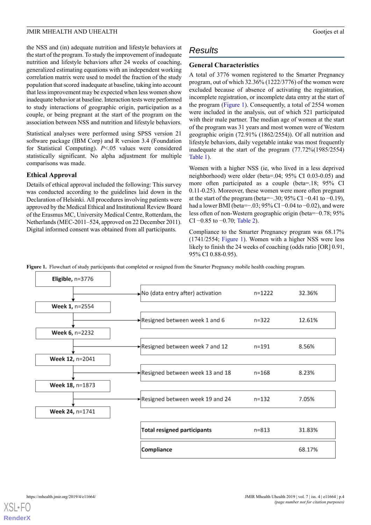the NSS and (in) adequate nutrition and lifestyle behaviors at the start of the program. To study the improvement of inadequate nutrition and lifestyle behaviors after 24 weeks of coaching, generalized estimating equations with an independent working correlation matrix were used to model the fraction of the study population that scored inadequate at baseline, taking into account that less improvement may be expected when less women show inadequate behavior at baseline. Interaction tests were performed to study interactions of geographic origin, participation as a couple, or being pregnant at the start of the program on the association between NSS and nutrition and lifestyle behaviors.

Statistical analyses were performed using SPSS version 21 software package (IBM Corp) and R version 3.4 (Foundation for Statistical Computing). *P*<.05 values were considered statistically significant. No alpha adjustment for multiple comparisons was made.

#### **Ethical Approval**

Details of ethical approval included the following: This survey was conducted according to the guidelines laid down in the Declaration of Helsinki. All procedures involving patients were approved by the Medical Ethical and Institutional Review Board of the Erasmus MC, University Medical Centre, Rotterdam, the Netherlands (MEC-2011–524, approved on 22 December 2011). Digital informed consent was obtained from all participants.

## *Results*

#### **General Characteristics**

A total of 3776 women registered to the Smarter Pregnancy program, out of which 32.36% (1222/3776) of the women were excluded because of absence of activating the registration, incomplete registration, or incomplete data entry at the start of the program ([Figure 1\)](#page-3-0). Consequently, a total of 2554 women were included in the analysis, out of which 521 participated with their male partner. The median age of women at the start of the program was 31 years and most women were of Western geographic origin (72.91% (1862/2554)). Of all nutrition and lifestyle behaviors, daily vegetable intake was most frequently inadequate at the start of the program (77.72%(1985/2554) [Table 1](#page-4-0)).

Women with a higher NSS (ie, who lived in a less deprived neighborhood) were older (beta=.04; 95% CI 0.03-0.05) and more often participated as a couple (beta=.18; 95% CI 0.11-0.25). Moreover, these women were more often pregnant at the start of the program (beta=−.30; 95% CI −0.41 to −0.19), had a lower BMI (beta=−.03; 95% CI −0.04 to −0.02), and were less often of non-Western geographic origin (beta=−0.78; 95% CI −0.85 to −0.70; [Table 2\)](#page-4-1).

Compliance to the Smarter Pregnancy program was 68.17% (1741/2554; [Figure 1\)](#page-3-0). Women with a higher NSS were less likely to finish the 24 weeks of coaching (odds ratio [OR] 0.91, 95% CI 0.88-0.95).

<span id="page-3-0"></span>**Figure 1.** Flowchart of study participants that completed or resigned from the Smarter Pregnancy mobile health coaching program.



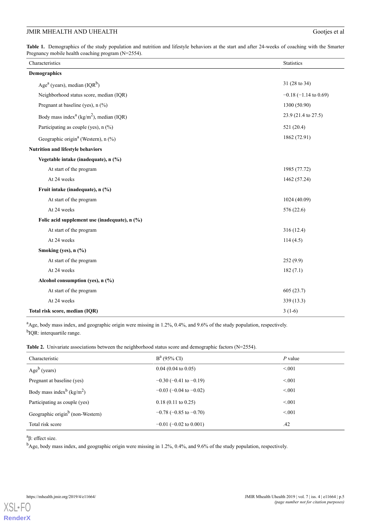<span id="page-4-0"></span>**Table 1.** Demographics of the study population and nutrition and lifestyle behaviors at the start and after 24-weeks of coaching with the Smarter Pregnancy mobile health coaching program (N=2554).

| Characteristics                                                 | <b>Statistics</b>          |
|-----------------------------------------------------------------|----------------------------|
| <b>Demographics</b>                                             |                            |
| Age <sup>a</sup> (years), median $(IQR^b)$                      | 31 (28 to 34)              |
| Neighborhood status score, median (IQR)                         | $-0.18$ ( $-1.14$ to 0.69) |
| Pregnant at baseline (yes), n (%)                               | 1300 (50.90)               |
| Body mass index <sup>a</sup> (kg/m <sup>2</sup> ), median (IQR) | 23.9 (21.4 to 27.5)        |
| Participating as couple (yes), n (%)                            | 521 (20.4)                 |
| Geographic origin <sup>a</sup> (Western), n (%)                 | 1862 (72.91)               |
| Nutrition and lifestyle behaviors                               |                            |
| Vegetable intake (inadequate), n (%)                            |                            |
| At start of the program                                         | 1985 (77.72)               |
| At 24 weeks                                                     | 1462 (57.24)               |
| Fruit intake (inadequate), n (%)                                |                            |
| At start of the program                                         | 1024 (40.09)               |
| At 24 weeks                                                     | 576 (22.6)                 |
| Folic acid supplement use (inadequate), n (%)                   |                            |
| At start of the program                                         | 316(12.4)                  |
| At 24 weeks                                                     | 114(4.5)                   |
| Smoking (yes), n (%)                                            |                            |
| At start of the program                                         | 252(9.9)                   |
| At 24 weeks                                                     | 182(7.1)                   |
| Alcohol consumption (yes), n (%)                                |                            |
| At start of the program                                         | 605(23.7)                  |
| At 24 weeks                                                     | 339 (13.3)                 |
| Total risk score, median (IQR)                                  | $3(1-6)$                   |

<span id="page-4-1"></span><sup>a</sup>Age, body mass index, and geographic origin were missing in 1.2%, 0.4%, and 9.6% of the study population, respectively. <sup>b</sup>IQR: interquartile range.

Table 2. Univariate associations between the neighborhood status score and demographic factors (N=2554).

| Characteristic                                    | $B^a$ (95% CI)                 | $P$ value |
|---------------------------------------------------|--------------------------------|-----------|
| $Ageb$ (years)                                    | $0.04$ (0.04 to 0.05)          | < 0.01    |
| Pregnant at baseline (yes)                        | $-0.30$ ( $-0.41$ to $-0.19$ ) | < 0.01    |
| Body mass index <sup>b</sup> (kg/m <sup>2</sup> ) | $-0.03$ ( $-0.04$ to $-0.02$ ) | < 0.01    |
| Participating as couple (yes)                     | $0.18(0.11 \text{ to } 0.25)$  | < 0.01    |
| Geographic origin <sup>b</sup> (non-Western)      | $-0.78$ ( $-0.85$ to $-0.70$ ) | < 0.01    |
| Total risk score                                  | $-0.01$ ( $-0.02$ to 0.001)    | .42       |

<sup>a</sup>β: effect size.

<sup>b</sup>Age, body mass index, and geographic origin were missing in 1.2%, 0.4%, and 9.6% of the study population, respectively.

**[RenderX](http://www.renderx.com/)**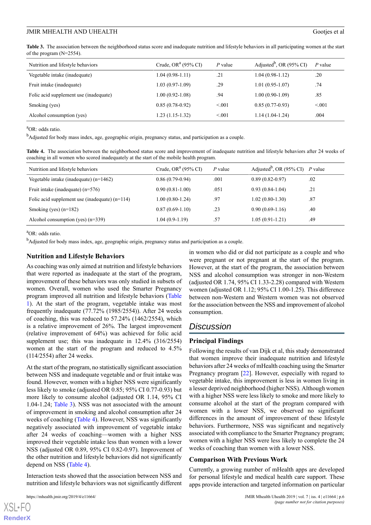<span id="page-5-0"></span>**Table 3.** The association between the neighborhood status score and inadequate nutrition and lifestyle behaviors in all participating women at the start of the program (N=2554).

| Nutrition and lifestyle behaviors      | Crude, OR <sup><math>a</math></sup> (95% CI) | $P$ value | Adjusted <sup>b</sup> , OR (95% CI) | $P$ value |
|----------------------------------------|----------------------------------------------|-----------|-------------------------------------|-----------|
| Vegetable intake (inadequate)          | $1.04(0.98-1.11)$                            | .21       | $1.04(0.98-1.12)$                   | .20       |
| Fruit intake (inadequate)              | $1.03(0.97-1.09)$                            | .29       | $1.01(0.95-1.07)$                   | .74       |
| Folic acid supplement use (inadequate) | $1.00(0.92 - 1.08)$                          | .94       | $1.00(0.90-1.09)$                   | .85       |
| Smoking (yes)                          | $0.85(0.78-0.92)$                            | < 0.01    | $0.85(0.77-0.93)$                   | < 0.01    |
| Alcohol consumption (yes)              | $1.23(1.15-1.32)$                            | < 0.01    | $1.14(1.04-1.24)$                   | .004      |

<sup>a</sup>OR: odds ratio.

<span id="page-5-1"></span><sup>b</sup>Adjusted for body mass index, age, geographic origin, pregnancy status, and participation as a couple.

**Table 4.** The association between the neighborhood status score and improvement of inadequate nutrition and lifestyle behaviors after 24 weeks of coaching in all women who scored inadequately at the start of the mobile health program.

| Nutrition and lifestyle behaviors                | Crude, OR <sup><math>a</math></sup> (95% CI) | $P$ value | Adjusted <sup>b</sup> , OR (95% CI) <i>P</i> value |     |
|--------------------------------------------------|----------------------------------------------|-----------|----------------------------------------------------|-----|
| Vegetable intake (inadequate) $(n=1462)$         | $0.86(0.79-0.94)$                            | .001      | $0.89(0.82 - 0.97)$                                | .02 |
| Fruit intake (inadequate) $(n=576)$              | $0.90(0.81-1.00)$                            | .051      | $0.93(0.84-1.04)$                                  | .21 |
| Folic acid supplement use (inadequate) $(n=114)$ | $1.00(0.80-1.24)$                            | .97       | $1.02(0.80-1.30)$                                  | .87 |
| Smoking (yes) $(n=182)$                          | $0.87(0.69-1.10)$                            | .23       | $0.90(0.69-1.16)$                                  | .40 |
| Alcohol consumption (yes) $(n=339)$              | $1.04(0.9-1.19)$                             | .57       | $1.05(0.91-1.21)$                                  | .49 |

<sup>a</sup>OR: odds ratio.

<sup>b</sup>Adjusted for body mass index, age, geographic origin, pregnancy status and participation as a couple.

#### **Nutrition and Lifestyle Behaviors**

As coaching was only aimed at nutrition and lifestyle behaviors that were reported as inadequate at the start of the program, improvement of these behaviors was only studied in subsets of women. Overall, women who used the Smarter Pregnancy program improved all nutrition and lifestyle behaviors ([Table](#page-4-0) [1\)](#page-4-0). At the start of the program, vegetable intake was most frequently inadequate (77.72% (1985/2554)). After 24 weeks of coaching, this was reduced to 57.24% (1462/2554), which is a relative improvement of 26%. The largest improvement (relative improvement of 64%) was achieved for folic acid supplement use; this was inadequate in  $12.4\%$  (316/2554) women at the start of the program and reduced to 4.5% (114/2554) after 24 weeks.

At the start of the program, no statistically significant association between NSS and inadequate vegetable and or fruit intake was found. However, women with a higher NSS were significantly less likely to smoke (adjusted OR 0.85; 95% CI 0.77-0.93) but more likely to consume alcohol (adjusted OR 1.14, 95% CI 1.04-1.24; [Table 3\)](#page-5-0). NSS was not associated with the amount of improvement in smoking and alcohol consumption after 24 weeks of coaching [\(Table 4\)](#page-5-1). However, NSS was significantly negatively associated with improvement of vegetable intake after 24 weeks of coaching—women with a higher NSS improved their vegetable intake less than women with a lower NSS (adjusted OR 0.89, 95% CI 0.82-0.97). Improvement of the other nutrition and lifestyle behaviors did not significantly depend on NSS ([Table 4](#page-5-1)).

Interaction tests showed that the association between NSS and nutrition and lifestyle behaviors was not significantly different

 $XS$  • FO **[RenderX](http://www.renderx.com/)** in women who did or did not participate as a couple and who were pregnant or not pregnant at the start of the program. However, at the start of the program, the association between NSS and alcohol consumption was stronger in non-Western (adjusted OR 1.74, 95% CI 1.33-2.28) compared with Western women (adjusted OR 1.12; 95% CI 1.00-1.25). This difference between non-Western and Western women was not observed for the association between the NSS and improvement of alcohol consumption.

## *Discussion*

#### **Principal Findings**

Following the results of van Dijk et al, this study demonstrated that women improve their inadequate nutrition and lifestyle behaviors after 24 weeks of mHealth coaching using the Smarter Pregnancy program [[22\]](#page-8-10). However, especially with regard to vegetable intake, this improvement is less in women living in a lesser deprived neighborhood (higher NSS). Although women with a higher NSS were less likely to smoke and more likely to consume alcohol at the start of the program compared with women with a lower NSS, we observed no significant differences in the amount of improvement of these lifestyle behaviors. Furthermore, NSS was significant and negatively associated with compliance to the Smarter Pregnancy program; women with a higher NSS were less likely to complete the 24 weeks of coaching than women with a lower NSS.

#### **Comparison With Previous Work**

Currently, a growing number of mHealth apps are developed for personal lifestyle and medical health care support. These apps provide interaction and targeted information on particular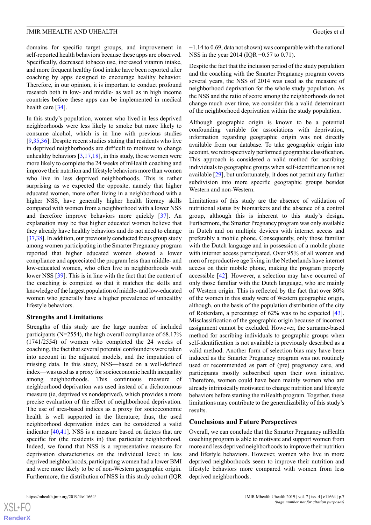domains for specific target groups, and improvement in self-reported health behaviors because these apps are observed. Specifically, decreased tobacco use, increased vitamin intake, and more frequent healthy food intake have been reported after coaching by apps designed to encourage healthy behavior. Therefore, in our opinion, it is important to conduct profound research both in low- and middle- as well as in high income countries before these apps can be implemented in medical health care [[34\]](#page-8-22).

In this study's population, women who lived in less deprived neighborhoods were less likely to smoke but more likely to consume alcohol, which is in line with previous studies [[9](#page-7-5)[,35](#page-9-0),[36\]](#page-9-1). Despite recent studies stating that residents who live in deprived neighborhoods are difficult to motivate to change unhealthy behaviors  $[3,17,18]$  $[3,17,18]$  $[3,17,18]$  $[3,17,18]$  $[3,17,18]$ , in this study, those women were more likely to complete the 24 weeks of mHealth coaching and improve their nutrition and lifestyle behaviors more than women who live in less deprived neighborhoods. This is rather surprising as we expected the opposite, namely that higher educated women, more often living in a neighborhood with a higher NSS, have generally higher health literacy skills compared with women from a neighborhood with a lower NSS and therefore improve behaviors more quickly [\[37](#page-9-2)]. An explanation may be that higher educated women believe that they already have healthy behaviors and do not need to change [[37,](#page-9-2)[38\]](#page-9-3). In addition, our previously conducted focus group study among women participating in the Smarter Pregnancy program reported that higher educated women showed a lower compliance and appreciated the program less than middle- and low-educated women, who often live in neighborhoods with lower NSS [[39\]](#page-9-4). This is in line with the fact that the content of the coaching is compiled so that it matches the skills and knowledge of the largest population of middle- and low-educated women who generally have a higher prevalence of unhealthy lifestyle behaviors.

#### **Strengths and Limitations**

Strengths of this study are the large number of included participants (N=2554), the high overall compliance of 68.17% (1741/2554) of women who completed the 24 weeks of coaching, the fact that several potential confounders were taken into account in the adjusted models, and the imputation of missing data. In this study, NSS—based on a well-defined index—was used as a proxy for socioeconomic health inequality among neighborhoods. This continuous measure of neighborhood deprivation was used instead of a dichotomous measure (ie, deprived vs nondeprived), which provides a more precise evaluation of the effect of neighborhood deprivation. The use of area-based indices as a proxy for socioeconomic health is well supported in the literature; thus, the used neighborhood deprivation index can be considered a valid indicator [[40,](#page-9-5)[41](#page-9-6)]. NSS is a measure based on factors that are specific for (the residents in) that particular neighborhood. Indeed, we found that NSS is a representative measure for deprivation characteristics on the individual level; in less deprived neighborhoods, participating women had a lower BMI and were more likely to be of non-Western geographic origin. Furthermore, the distribution of NSS in this study cohort (IQR

 $XS$ -FO **[RenderX](http://www.renderx.com/)** −1.14 to 0.69, data not shown) was comparable with the national NSS in the year 2014 (IQR −0.57 to 0.71).

Despite the fact that the inclusion period of the study population and the coaching with the Smarter Pregnancy program covers several years, the NSS of 2014 was used as the measure of neighborhood deprivation for the whole study population. As the NSS and the ratio of score among the neighborhoods do not change much over time, we consider this a valid determinant of the neighborhood deprivation within the study population.

Although geographic origin is known to be a potential confounding variable for associations with deprivation, information regarding geographic origin was not directly available from our database. To take geographic origin into account, we retrospectively performed geographic classification. This approach is considered a valid method for ascribing individuals to geographic groups when self-identification is not available [\[29](#page-8-17)], but unfortunately, it does not permit any further subdivision into more specific geographic groups besides Western and non-Western.

Limitations of this study are the absence of validation of nutritional status by biomarkers and the absence of a control group, although this is inherent to this study's design. Furthermore, the Smarter Pregnancy program was only available in Dutch and on multiple devices with internet access and preferably a mobile phone. Consequently, only those familiar with the Dutch language and in possession of a mobile phone with internet access participated. Over 95% of all women and men of reproductive age living in the Netherlands have internet access on their mobile phone, making the program properly accessible [\[42](#page-9-7)]. However, a selection may have occurred of only those familiar with the Dutch language, who are mainly of Western origin. This is reflected by the fact that over 80% of the women in this study were of Western geographic origin, although, on the basis of the population distribution of the city of Rotterdam, a percentage of 62% was to be expected [[43\]](#page-9-8). Misclassification of the geographic origin because of incorrect assignment cannot be excluded. However, the surname-based method for ascribing individuals to geographic groups when self-identification is not available is previously described as a valid method. Another form of selection bias may have been induced as the Smarter Pregnancy program was not routinely used or recommended as part of (pre) pregnancy care, and participants mostly subscribed upon their own initiative. Therefore, women could have been mainly women who are already intrinsically motivated to change nutrition and lifestyle behaviors before starting the mHealth program. Together, these limitations may contribute to the generalizability of this study's results.

#### **Conclusions and Future Perspectives**

Overall, we can conclude that the Smarter Pregnancy mHealth coaching program is able to motivate and support women from more and less deprived neighborhoods to improve their nutrition and lifestyle behaviors. However, women who live in more deprived neighborhoods seem to improve their nutrition and lifestyle behaviors more compared with women from less deprived neighborhoods.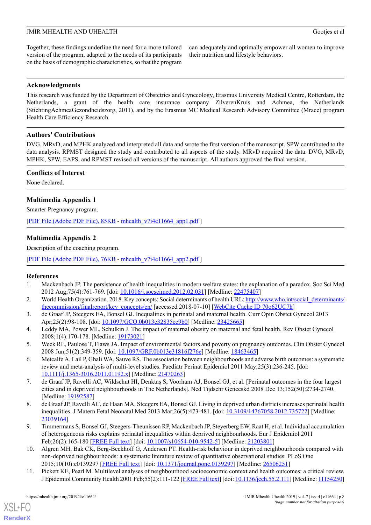Together, these findings underline the need for a more tailored version of the program, adapted to the needs of its participants on the basis of demographic characteristics, so that the program

can adequately and optimally empower all women to improve their nutrition and lifestyle behaviors.

#### **Acknowledgments**

This research was funded by the Department of Obstetrics and Gynecology, Erasmus University Medical Centre, Rotterdam, the Netherlands, a grant of the health care insurance company ZilverenKruis and Achmea, the Netherlands (StichtingAchmeaGezondheidszorg, 2011), and by the Erasmus MC Medical Research Advisory Committee (Mrace) program Health Care Efficiency Research.

#### **Authors' Contributions**

DVG, MRvD, and MPHK analyzed and interpreted all data and wrote the first version of the manuscript. SPW contributed to the data analysis. RPMST designed the study and contributed to all aspects of the study. MRvD acquired the data. DVG, MRvD, MPHK, SPW, EAPS, and RPMST revised all versions of the manuscript. All authors approved the final version.

#### **Conflicts of Interest**

<span id="page-7-8"></span>None declared.

### **Multimedia Appendix 1**

<span id="page-7-9"></span>Smarter Pregnancy program.

[[PDF File \(Adobe PDF File\), 85KB](https://mhealth.jmir.org/article/downloadSuppFile/11664/93115) - [mhealth\\_v7i4e11664\\_app1.pdf](https://mhealth.jmir.org/article/downloadSuppFile/11664/93115) ]

#### **Multimedia Appendix 2**

Description of the coaching program.

<span id="page-7-0"></span>[[PDF File \(Adobe PDF File\), 76KB](https://mhealth.jmir.org/article/downloadSuppFile/11664/93117) - [mhealth\\_v7i4e11664\\_app2.pdf](https://mhealth.jmir.org/article/downloadSuppFile/11664/93117) ]

#### <span id="page-7-1"></span>**References**

- <span id="page-7-2"></span>1. Mackenbach JP. The persistence of health inequalities in modern welfare states: the explanation of a paradox. Soc Sci Med 2012 Aug;75(4):761-769. [doi: [10.1016/j.socscimed.2012.02.031\]](http://dx.doi.org/10.1016/j.socscimed.2012.02.031) [Medline: [22475407\]](http://www.ncbi.nlm.nih.gov/entrez/query.fcgi?cmd=Retrieve&db=PubMed&list_uids=22475407&dopt=Abstract)
- 2. World Health Organization. 2018. Key concepts: Social determinants of health URL: [http://www.who.int/social\\_determinants/](http://www.who.int/social_determinants/thecommission/finalreport/key_concepts/en/) [thecommission/finalreport/key\\_concepts/en/](http://www.who.int/social_determinants/thecommission/finalreport/key_concepts/en/) [accessed 2018-07-10] [\[WebCite Cache ID 70o62UC7h\]](http://www.webcitation.org/70o62UC7h)
- 3. de Graaf JP, Steegers EA, Bonsel GJ. Inequalities in perinatal and maternal health. Curr Opin Obstet Gynecol 2013 Apr;25(2):98-108. [doi: [10.1097/GCO.0b013e32835ec9b0](http://dx.doi.org/10.1097/GCO.0b013e32835ec9b0)] [Medline: [23425665\]](http://www.ncbi.nlm.nih.gov/entrez/query.fcgi?cmd=Retrieve&db=PubMed&list_uids=23425665&dopt=Abstract)
- <span id="page-7-3"></span>4. Leddy MA, Power ML, Schulkin J. The impact of maternal obesity on maternal and fetal health. Rev Obstet Gynecol 2008;1(4):170-178. [Medline: [19173021\]](http://www.ncbi.nlm.nih.gov/entrez/query.fcgi?cmd=Retrieve&db=PubMed&list_uids=19173021&dopt=Abstract)
- <span id="page-7-4"></span>5. Weck RL, Paulose T, Flaws JA. Impact of environmental factors and poverty on pregnancy outcomes. Clin Obstet Gynecol 2008 Jun;51(2):349-359. [doi: [10.1097/GRF.0b013e31816f276e](http://dx.doi.org/10.1097/GRF.0b013e31816f276e)] [Medline: [18463465](http://www.ncbi.nlm.nih.gov/entrez/query.fcgi?cmd=Retrieve&db=PubMed&list_uids=18463465&dopt=Abstract)]
- 6. Metcalfe A, Lail P, Ghali WA, Sauve RS. The association between neighbourhoods and adverse birth outcomes: a systematic review and meta-analysis of multi-level studies. Paediatr Perinat Epidemiol 2011 May;25(3):236-245. [doi: [10.1111/j.1365-3016.2011.01192.x](http://dx.doi.org/10.1111/j.1365-3016.2011.01192.x)] [Medline: [21470263\]](http://www.ncbi.nlm.nih.gov/entrez/query.fcgi?cmd=Retrieve&db=PubMed&list_uids=21470263&dopt=Abstract)
- <span id="page-7-5"></span>7. de Graaf JP, Ravelli AC, Wildschut HI, Denktaş S, Voorham AJ, Bonsel GJ, et al. [Perinatal outcomes in the four largest cities and in deprived neighbourhoods in The Netherlands]. Ned Tijdschr Geneeskd 2008 Dec 13;152(50):2734-2740. [Medline: [19192587](http://www.ncbi.nlm.nih.gov/entrez/query.fcgi?cmd=Retrieve&db=PubMed&list_uids=19192587&dopt=Abstract)]
- <span id="page-7-6"></span>8. de Graaf JP, Ravelli AC, de Haan MA, Steegers EA, Bonsel GJ. Living in deprived urban districts increases perinatal health inequalities. J Matern Fetal Neonatal Med 2013 Mar;26(5):473-481. [doi: [10.3109/14767058.2012.735722](http://dx.doi.org/10.3109/14767058.2012.735722)] [Medline: [23039164](http://www.ncbi.nlm.nih.gov/entrez/query.fcgi?cmd=Retrieve&db=PubMed&list_uids=23039164&dopt=Abstract)]
- <span id="page-7-7"></span>9. Timmermans S, Bonsel GJ, Steegers-Theunissen RP, Mackenbach JP, Steyerberg EW, Raat H, et al. Individual accumulation of heterogeneous risks explains perinatal inequalities within deprived neighbourhoods. Eur J Epidemiol 2011 Feb;26(2):165-180 [[FREE Full text](http://europepmc.org/abstract/MED/21203801)] [doi: [10.1007/s10654-010-9542-5\]](http://dx.doi.org/10.1007/s10654-010-9542-5) [Medline: [21203801](http://www.ncbi.nlm.nih.gov/entrez/query.fcgi?cmd=Retrieve&db=PubMed&list_uids=21203801&dopt=Abstract)]
- 10. Algren MH, Bak CK, Berg-Beckhoff G, Andersen PT. Health-risk behaviour in deprived neighbourhoods compared with non-deprived neighbourhoods: a systematic literature review of quantitative observational studies. PLoS One 2015;10(10):e0139297 [[FREE Full text](http://dx.plos.org/10.1371/journal.pone.0139297)] [doi: [10.1371/journal.pone.0139297\]](http://dx.doi.org/10.1371/journal.pone.0139297) [Medline: [26506251](http://www.ncbi.nlm.nih.gov/entrez/query.fcgi?cmd=Retrieve&db=PubMed&list_uids=26506251&dopt=Abstract)]
- 11. Pickett KE, Pearl M. Multilevel analyses of neighbourhood socioeconomic context and health outcomes: a critical review. J Epidemiol Community Health 2001 Feb;55(2):111-122 [\[FREE Full text\]](http://jech.bmj.com/cgi/pmidlookup?view=long&pmid=11154250) [doi: [10.1136/jech.55.2.111\]](http://dx.doi.org/10.1136/jech.55.2.111) [Medline: [11154250](http://www.ncbi.nlm.nih.gov/entrez/query.fcgi?cmd=Retrieve&db=PubMed&list_uids=11154250&dopt=Abstract)]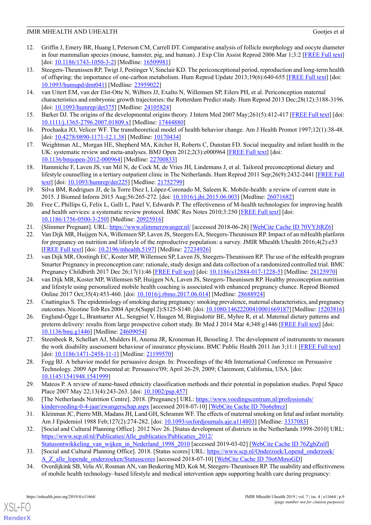- <span id="page-8-0"></span>12. Griffin J, Emery BR, Huang I, Peterson CM, Carrell DT. Comparative analysis of follicle morphology and oocyte diameter in four mammalian species (mouse, hamster, pig, and human). J Exp Clin Assist Reprod 2006 Mar 1;3:2 [[FREE Full text](http://europepmc.org/abstract/MED/16509981)] [doi: [10.1186/1743-1050-3-2\]](http://dx.doi.org/10.1186/1743-1050-3-2) [Medline: [16509981](http://www.ncbi.nlm.nih.gov/entrez/query.fcgi?cmd=Retrieve&db=PubMed&list_uids=16509981&dopt=Abstract)]
- <span id="page-8-1"></span>13. Steegers-Theunissen RP, Twigt J, Pestinger V, Sinclair KD. The periconceptional period, reproduction and long-term health of offspring: the importance of one-carbon metabolism. Hum Reprod Update 2013;19(6):640-655 [\[FREE Full text\]](http://humupd.oxfordjournals.org/cgi/pmidlookup?view=long&pmid=23959022) [doi: [10.1093/humupd/dmt041\]](http://dx.doi.org/10.1093/humupd/dmt041) [Medline: [23959022\]](http://www.ncbi.nlm.nih.gov/entrez/query.fcgi?cmd=Retrieve&db=PubMed&list_uids=23959022&dopt=Abstract)
- <span id="page-8-2"></span>14. van Uitert EM, van der Elst-Otte N, Wilbers JJ, Exalto N, Willemsen SP, Eilers PH, et al. Periconception maternal characteristics and embryonic growth trajectories: the Rotterdam Predict study. Hum Reprod 2013 Dec;28(12):3188-3196. [doi: [10.1093/humrep/det375\]](http://dx.doi.org/10.1093/humrep/det375) [Medline: [24105824](http://www.ncbi.nlm.nih.gov/entrez/query.fcgi?cmd=Retrieve&db=PubMed&list_uids=24105824&dopt=Abstract)]
- <span id="page-8-4"></span><span id="page-8-3"></span>15. Barker DJ. The origins of the developmental origins theory. J Intern Med 2007 May;261(5):412-417 [[FREE Full text](http://dx.doi.org/10.1111/j.1365-2796.2007.01809.x)] [doi: [10.1111/j.1365-2796.2007.01809.x\]](http://dx.doi.org/10.1111/j.1365-2796.2007.01809.x) [Medline: [17444880](http://www.ncbi.nlm.nih.gov/entrez/query.fcgi?cmd=Retrieve&db=PubMed&list_uids=17444880&dopt=Abstract)]
- <span id="page-8-5"></span>16. Prochaska JO, Velicer WF. The transtheoretical model of health behavior change. Am J Health Promot 1997;12(1):38-48. [doi: [10.4278/0890-1171-12.1.38](http://dx.doi.org/10.4278/0890-1171-12.1.38)] [Medline: [10170434](http://www.ncbi.nlm.nih.gov/entrez/query.fcgi?cmd=Retrieve&db=PubMed&list_uids=10170434&dopt=Abstract)]
- <span id="page-8-6"></span>17. Weightman AL, Morgan HE, Shepherd MA, Kitcher H, Roberts C, Dunstan FD. Social inequality and infant health in the UK: systematic review and meta-analyses. BMJ Open 2012;2(3):e000964 [[FREE Full text](http://bmjopen.bmj.com/cgi/pmidlookup?view=long&pmid=22700833)] [doi: [10.1136/bmjopen-2012-000964](http://dx.doi.org/10.1136/bmjopen-2012-000964)] [Medline: [22700833\]](http://www.ncbi.nlm.nih.gov/entrez/query.fcgi?cmd=Retrieve&db=PubMed&list_uids=22700833&dopt=Abstract)
- <span id="page-8-7"></span>18. Hammiche F, Laven JS, van Mil N, de Cock M, de Vries JH, Lindemans J, et al. Tailored preconceptional dietary and lifestyle counselling in a tertiary outpatient clinic in The Netherlands. Hum Reprod 2011 Sep;26(9):2432-2441 [\[FREE Full](http://humrep.oxfordjournals.org/cgi/pmidlookup?view=long&pmid=21752799) [text\]](http://humrep.oxfordjournals.org/cgi/pmidlookup?view=long&pmid=21752799) [doi: [10.1093/humrep/der225](http://dx.doi.org/10.1093/humrep/der225)] [Medline: [21752799\]](http://www.ncbi.nlm.nih.gov/entrez/query.fcgi?cmd=Retrieve&db=PubMed&list_uids=21752799&dopt=Abstract)
- <span id="page-8-8"></span>19. Silva BM, Rodrigues JJ, de la Torre Diez I, López-Coronado M, Saleem K. Mobile-health: a review of current state in 2015. J Biomed Inform 2015 Aug;56:265-272. [doi: [10.1016/j.jbi.2015.06.003\]](http://dx.doi.org/10.1016/j.jbi.2015.06.003) [Medline: [26071682\]](http://www.ncbi.nlm.nih.gov/entrez/query.fcgi?cmd=Retrieve&db=PubMed&list_uids=26071682&dopt=Abstract)
- <span id="page-8-10"></span><span id="page-8-9"></span>20. Free C, Phillips G, Felix L, Galli L, Patel V, Edwards P. The effectiveness of M-health technologies for improving health and health services: a systematic review protocol. BMC Res Notes 2010;3:250 [[FREE Full text](http://www.biomedcentral.com/1756-0500/3/250)] [doi: [10.1186/1756-0500-3-250](http://dx.doi.org/10.1186/1756-0500-3-250)] [Medline: [20925916](http://www.ncbi.nlm.nih.gov/entrez/query.fcgi?cmd=Retrieve&db=PubMed&list_uids=20925916&dopt=Abstract)]
- 21. [Slimmer Pregnant]. URL: <https://www.slimmerzwanger.nl/> [accessed 2018-06-28] [\[WebCite Cache ID 70VYJtRZ6\]](http://www.webcitation.org/70VYJtRZ6)
- <span id="page-8-11"></span>22. Van Dijk MR, Huijgen NA, Willemsen SP, Laven JS, Steegers EA, Steegers-Theunissen RP. Impact of an mHealth platform for pregnancy on nutrition and lifestyle of the reproductive population: a survey. JMIR Mhealth Uhealth 2016;4(2):e53 [[FREE Full text](http://mhealth.jmir.org/2016/2/e53/)] [doi: [10.2196/mhealth.5197\]](http://dx.doi.org/10.2196/mhealth.5197) [Medline: [27234926](http://www.ncbi.nlm.nih.gov/entrez/query.fcgi?cmd=Retrieve&db=PubMed&list_uids=27234926&dopt=Abstract)]
- <span id="page-8-12"></span>23. van Dijk MR, Oostingh EC, Koster MP, Willemsen SP, Laven JS, Steegers-Theunissen RP. The use of the mHealth program Smarter Pregnancy in preconception care: rationale, study design and data collection of a randomized controlled trial. BMC Pregnancy Childbirth 2017 Dec 26;17(1):46 [[FREE Full text](https://bmcpregnancychildbirth.biomedcentral.com/articles/10.1186/s12884-017-1228-5)] [doi: [10.1186/s12884-017-1228-5](http://dx.doi.org/10.1186/s12884-017-1228-5)] [Medline: [28125970](http://www.ncbi.nlm.nih.gov/entrez/query.fcgi?cmd=Retrieve&db=PubMed&list_uids=28125970&dopt=Abstract)]
- <span id="page-8-14"></span><span id="page-8-13"></span>24. van Dijk MR, Koster MP, Willemsen SP, Huijgen NA, Laven JS, Steegers-Theunissen RP. Healthy preconception nutrition and lifestyle using personalized mobile health coaching is associated with enhanced pregnancy chance. Reprod Biomed Online 2017 Oct;35(4):453-460. [doi: [10.1016/j.rbmo.2017.06.014](http://dx.doi.org/10.1016/j.rbmo.2017.06.014)] [Medline: [28688924\]](http://www.ncbi.nlm.nih.gov/entrez/query.fcgi?cmd=Retrieve&db=PubMed&list_uids=28688924&dopt=Abstract)
- <span id="page-8-15"></span>25. Cnattingius S. The epidemiology of smoking during pregnancy: smoking prevalence, maternal characteristics, and pregnancy outcomes. Nicotine Tob Res 2004 Apr;6(Suppl 2):S125-S140. [doi: [10.1080/14622200410001669187](http://dx.doi.org/10.1080/14622200410001669187)] [Medline: [15203816\]](http://www.ncbi.nlm.nih.gov/entrez/query.fcgi?cmd=Retrieve&db=PubMed&list_uids=15203816&dopt=Abstract)
- <span id="page-8-16"></span>26. Englund-Ögge L, Brantsæter AL, Sengpiel V, Haugen M, Birgisdottir BE, Myhre R, et al. Maternal dietary patterns and preterm delivery: results from large prospective cohort study. Br Med J 2014 Mar 4;348:g1446 [\[FREE Full text\]](http://www.bmj.com/cgi/pmidlookup?view=long&pmid=24609054) [doi: [10.1136/bmj.g1446](http://dx.doi.org/10.1136/bmj.g1446)] [Medline: [24609054](http://www.ncbi.nlm.nih.gov/entrez/query.fcgi?cmd=Retrieve&db=PubMed&list_uids=24609054&dopt=Abstract)]
- <span id="page-8-17"></span>27. Steenbeek R, Schellart AJ, Mulders H, Anema JR, Kroneman H, Besseling J. The development of instruments to measure the work disability assessment behaviour of insurance physicians. BMC Public Health 2011 Jan 3;11:1 [[FREE Full text](https://bmcpublichealth.biomedcentral.com/articles/10.1186/1471-2458-11-1)] [doi: [10.1186/1471-2458-11-1](http://dx.doi.org/10.1186/1471-2458-11-1)] [Medline: [21199570\]](http://www.ncbi.nlm.nih.gov/entrez/query.fcgi?cmd=Retrieve&db=PubMed&list_uids=21199570&dopt=Abstract)
- <span id="page-8-18"></span>28. Fogg BJ. A behavior model for persuasive design. In: Proceedings of the 4th International Conference on Persuasive Technology. 2009 Apr Presented at: Persuasive'09; April 26-29, 2009; Claremont, California, USA. [doi: [10.1145/1541948.1541999\]](http://dx.doi.org/10.1145/1541948.1541999)
- <span id="page-8-20"></span><span id="page-8-19"></span>29. Mateos P. A review of name‐based ethnicity classification methods and their potential in population studies. Popul Space Place 2007 May 22;13(4):243-263. [doi: [10.1002/psp.457\]](http://dx.doi.org/10.1002/psp.457)
- 30. [The Netherlands Nutrition Centre]. 2018. [Pregnancy] URL: [https://www.voedingscentrum.nl/professionals/](https://www.voedingscentrum.nl/professionals/kindervoeding-0-4-jaar/zwangerschap.aspx) [kindervoeding-0-4-jaar/zwangerschap.aspx](https://www.voedingscentrum.nl/professionals/kindervoeding-0-4-jaar/zwangerschap.aspx) [accessed 2018-07-10] [\[WebCite Cache ID 70o6ebrcz\]](http://www.webcitation.org/70o6ebrcz)
- <span id="page-8-22"></span><span id="page-8-21"></span>31. Kleinman JC, Pierre MB, Madans JH, Land GH, Schramm WF. The effects of maternal smoking on fetal and infant mortality. Am J Epidemiol 1988 Feb;127(2):274-282. [doi: [10.1093/oxfordjournals.aje.a114803\]](http://dx.doi.org/10.1093/oxfordjournals.aje.a114803) [Medline: [3337083](http://www.ncbi.nlm.nih.gov/entrez/query.fcgi?cmd=Retrieve&db=PubMed&list_uids=3337083&dopt=Abstract)]
- 32. [Social and Cultural Planning Office]. 2012 Nov 26. [Status development of districts in the Netherlands 1998-2010] URL: [https://www.scp.nl/nl/Publicaties/Alle\\_publicaties/Publicaties\\_2012/](https://www.scp.nl/nl/Publicaties/Alle_publicaties/Publicaties_2012/Statusontwikkeling_van_wijken_in_Nederland_1998_2010)
- [Statusontwikkeling\\_van\\_wijken\\_in\\_Nederland\\_1998\\_2010](https://www.scp.nl/nl/Publicaties/Alle_publicaties/Publicaties_2012/Statusontwikkeling_van_wijken_in_Nederland_1998_2010) [accessed 2019-03-02] [[WebCite Cache ID 76ZgbZnlf\]](http://www.webcitation.org/76ZgbZnlf) 33. [Social and Cultural Planning Office]. 2018. [Status scores] URL: [https://www.scp.nl/Onderzoek/Lopend\\_onderzoek/](https://www.scp.nl/Onderzoek/Lopend_onderzoek/A_Z_alle_lopende_onderzoeken/Statusscores)
- [A\\_Z\\_alle\\_lopende\\_onderzoeken/Statusscores](https://www.scp.nl/Onderzoek/Lopend_onderzoek/A_Z_alle_lopende_onderzoeken/Statusscores) [accessed 2018-07-10] [\[WebCite Cache ID 70o6MmoGD\]](http://www.webcitation.org/70o6MmoGD)
- 34. Overdijkink SB, Velu AV, Rosman AN, van Beukering MD, Kok M, Steegers-Theunissen RP. The usability and effectiveness of mobile health technology–based lifestyle and medical intervention apps supporting health care during pregnancy: